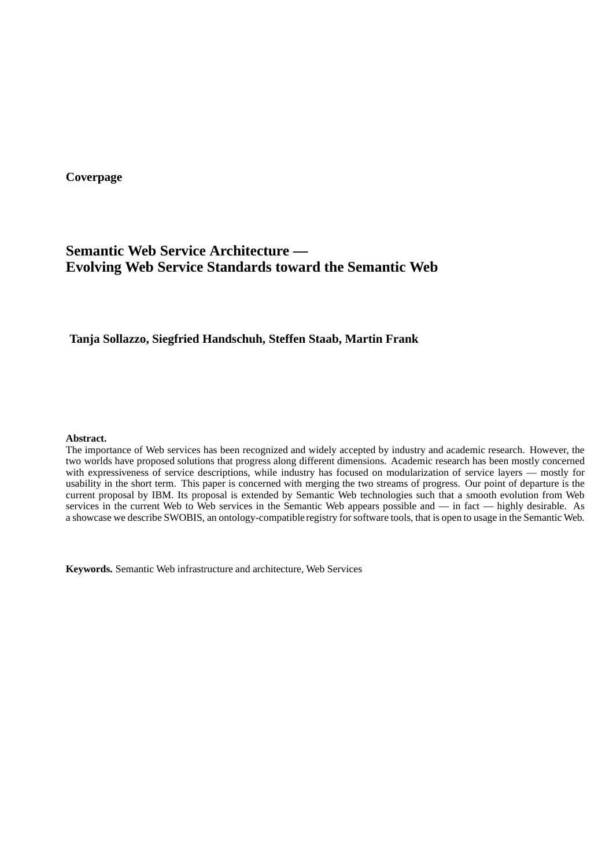**Coverpage**

# **Semantic Web Service Architecture — Evolving Web Service Standards toward the Semantic Web**

# **Tanja Sollazzo, Siegfried Handschuh, Steffen Staab, Martin Frank**

### **Abstract.**

The importance of Web services has been recognized and widely accepted by industry and academic research. However, the two worlds have proposed solutions that progress along different dimensions. Academic research has been mostly concerned with expressiveness of service descriptions, while industry has focused on modularization of service layers — mostly for usability in the short term. This paper is concerned with merging the two streams of progress. Our point of departure is the current proposal by IBM. Its proposal is extended by Semantic Web technologies such that a smooth evolution from Web services in the current Web to Web services in the Semantic Web appears possible and — in fact — highly desirable. As a showcase we describe SWOBIS, an ontology-compatible registry for software tools, that is open to usage in the Semantic Web.

**Keywords.** Semantic Web infrastructure and architecture, Web Services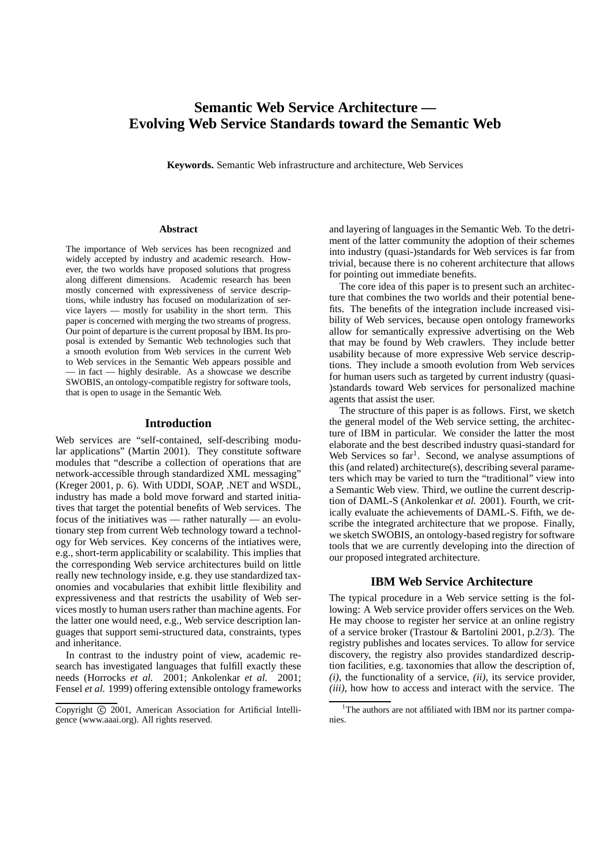# **Semantic Web Service Architecture — Evolving Web Service Standards toward the Semantic Web**

**Keywords.** Semantic Web infrastructure and architecture, Web Services

#### **Abstract**

The importance of Web services has been recognized and widely accepted by industry and academic research. However, the two worlds have proposed solutions that progress along different dimensions. Academic research has been mostly concerned with expressiveness of service descriptions, while industry has focused on modularization of service layers — mostly for usability in the short term. This paper is concerned with merging the two streams of progress. Our point of departure isthe current proposal by IBM. Its proposal is extended by Semantic Web technologies such that a smooth evolution from Web services in the current Web to Web services in the Semantic Web appears possible and — in fact — highly desirable. As a showcase we describe SWOBIS, an ontology-compatible registry for software tools, that is open to usage in the Semantic Web.

#### **Introduction**

Web services are "self-contained, self-describing modular applications" (Martin 2001). They constitute software modules that "describe a collection of operations that are network-accessible through standardized XML messaging" (Kreger 2001, p. 6). With UDDI, SOAP, .NET and WSDL, industry has made a bold move forward and started initiatives that target the potential benefits of Web services. The focus of the initiatives was — rather naturally — an evolutionary step from current Web technology toward a technology for Web services. Key concerns of the intiatives were, e.g., short-term applicability or scalability. This implies that the corresponding Web service architectures build on little really new technology inside, e.g. they use standardized taxonomies and vocabularies that exhibit little flexibility and expressiveness and that restricts the usability of Web services mostly to human users rather than machine agents. For the latter one would need, e.g., Web service description languages that support semi-structured data, constraints, types and inheritance.

In contrast to the industry point of view, academic research has investigated languages that fulfill exactly these needs (Horrocks *et al.* 2001; Ankolenkar *et al.* 2001; Fensel *et al.* 1999) offering extensible ontology frameworks and layering of languages in the Semantic Web. To the detriment of the latter community the adoption of their schemes into industry (quasi-)standards for Web services is far from trivial, because there is no coherent architecture that allows for pointing out immediate benefits.

The core idea of this paper is to present such an architecture that combines the two worlds and their potential benefits. The benefits of the integration include increased visibility of Web services, because open ontology frameworks allow for semantically expressive advertising on the Web that may be found by Web crawlers. They include better usability because of more expressive Web service descriptions. They include a smooth evolution from Web services for human users such as targeted by current industry (quasi- )standards toward Web services for personalized machine agents that assist the user.

The structure of this paper is as follows. First, we sketch the general model of the Web service setting, the architecture of IBM in particular. We consider the latter the most elaborate and the best described industry quasi-standard for Web Services so far<sup>1</sup>. Second, we analyse assumptions of this (and related) architecture(s), describing several parameters which may be varied to turn the "traditional" view into a Semantic Web view. Third, we outline the current description of DAML-S (Ankolenkar *et al.* 2001). Fourth, we critically evaluate the achievements of DAML-S. Fifth, we describe the integrated architecture that we propose. Finally, we sketch SWOBIS, an ontology-based registry for software tools that we are currently developing into the direction of our proposed integrated architecture.

# **IBM Web Service Architecture**

The typical procedure in a Web service setting is the following: A Web service provider offers services on the Web. He may choose to register her service at an online registry of a service broker (Trastour & Bartolini 2001, p.2/3). The registry publishes and locates services. To allow for service discovery, the registry also provides standardized description facilities, e.g. taxonomies that allow the description of, *(i)*, the functionality of a service, *(ii)*, its service provider, *(iii)*, how how to access and interact with the service. The

Copyright © 2001, American Association for Artificial Intelligence (www.aaai.org). All rights reserved.

<sup>&</sup>lt;sup>1</sup>The authors are not affiliated with IBM nor its partner companies.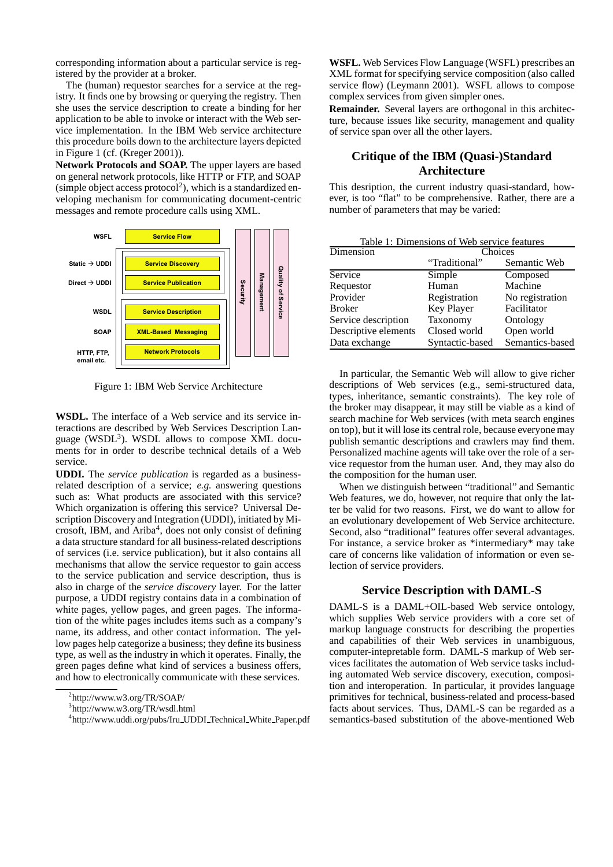corresponding information about a particular service is registered by the provider at a broker.

The (human) requestor searches for a service at the registry. It finds one by browsing or querying the registry. Then she uses the service description to create a binding for her application to be able to invoke or interact with the Web service implementation. In the IBM Web service architecture this procedure boils down to the architecture layers depicted in Figure 1 (cf. (Kreger 2001)).

**Network Protocols and SOAP.** The upper layers are based on general network protocols, like HTTP or FTP, and SOAP  $(simple object access protocol<sup>2</sup>)$ , which is a standardized enveloping mechanism for communicating document-centric messages and remote procedure calls using XML.



Figure 1: IBM Web Service Architecture

**WSDL.** The interface of a Web service and its service interactions are described by Web Services Description Language (WSDL<sup>3</sup>). WSDL allows to compose XML documents for in order to describe technical details of a Web service.

**UDDI.** The *service publication* is regarded as a businessrelated description of a service; *e.g.* answering questions such as: What products are associated with this service? Which organization is offering this service? Universal Description Discovery and Integration (UDDI), initiated by Microsoft, IBM, and Ariba<sup>4</sup>, does not only consist of defining a data structure standard for all business-related descriptions of services (i.e. service publication), but it also contains all mechanisms that allow the service requestor to gain access to the service publication and service description, thus is also in charge of the *service discovery* layer. For the latter purpose, a UDDI registry contains data in a combination of white pages, yellow pages, and green pages. The information of the white pages includes items such as a company's name, its address, and other contact information. The yellow pages help categorize a business; they define its business type, as well as the industry in which it operates. Finally, the green pages define what kind of services a business offers, and how to electronically communicate with these services.

3 http://www.w3.org/TR/wsdl.html

**WSFL.** Web Services Flow Language (WSFL) prescribes an XML format for specifying service composition (also called service flow) (Leymann 2001). WSFL allows to compose complex services from given simpler ones.

**Remainder.** Several layers are orthogonal in this architecture, because issues like security, management and quality of service span over all the other layers.

# **Critique of the IBM (Quasi-)Standard Architecture**

This desription, the current industry quasi-standard, however, is too "flat" to be comprehensive. Rather, there are a number of parameters that may be varied:

| Table 1: Dimensions of Web service features |                 |                 |
|---------------------------------------------|-----------------|-----------------|
| Dimension                                   | Choices         |                 |
|                                             | "Traditional"   | Semantic Web    |
| Service                                     | Simple          | Composed        |
| Requestor                                   | Human           | Machine         |
| Provider                                    | Registration    | No registration |
| <b>Broker</b>                               | Key Player      | Facilitator     |
| Service description                         | Taxonomy        | Ontology        |
| Descriptive elements                        | Closed world    | Open world      |
| Data exchange                               | Syntactic-based | Semantics-based |

In particular, the Semantic Web will allow to give richer descriptions of Web services (e.g., semi-structured data, types, inheritance, semantic constraints). The key role of the broker may disappear, it may still be viable as a kind of search machine for Web services (with meta search engines on top), but it will lose its central role, because everyone may publish semantic descriptions and crawlers may find them. Personalized machine agents will take over the role of a service requestor from the human user. And, they may also do the composition for the human user.

When we distinguish between "traditional" and Semantic Web features, we do, however, not require that only the latter be valid for two reasons. First, we do want to allow for an evolutionary developement of Web Service architecture. Second, also "traditional" features offer several advantages. For instance, a service broker as \*intermediary\* may take care of concerns like validation of information or even selection of service providers.

# **Service Description with DAML-S**

DAML-S is a DAML+OIL-based Web service ontology, which supplies Web service providers with a core set of markup language constructs for describing the properties and capabilities of their Web services in unambiguous, computer-intepretable form. DAML-S markup of Web services facilitates the automation of Web service tasks including automated Web service discovery, execution, composition and interoperation. In particular, it provides language primitives for technical, business-related and process-based facts about services. Thus, DAML-S can be regarded as a semantics-based substitution of the above-mentioned Web

<sup>2</sup> http://www.w3.org/TR/SOAP/

<sup>4</sup> http://www.uddi.org/pubs/Iru UDDI Technical White Paper.pdf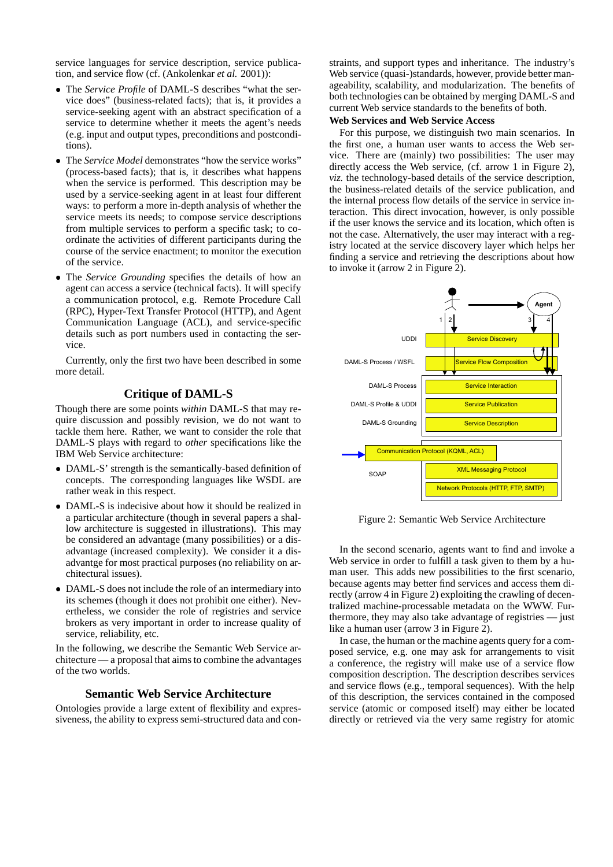service languages for service description, service publication, and service flow (cf. (Ankolenkar *et al.* 2001)):

- The *Service Profile* of DAML-S describes "what the service does" (business-related facts); that is, it provides a service-seeking agent with an abstract specification of a service to determine whether it meets the agent's needs (e.g. input and output types, preconditions and postconditions).
- The *Service Model* demonstrates "how the service works" (process-based facts); that is, it describes what happens when the service is performed. This description may be used by a service-seeking agent in at least four different ways: to perform a more in-depth analysis of whether the service meets its needs; to compose service descriptions from multiple services to perform a specific task; to coordinate the activities of different participants during the course of the service enactment; to monitor the execution of the service.
- The *Service Grounding* specifies the details of how an agent can access a service (technical facts). It will specify a communication protocol, e.g. Remote Procedure Call (RPC), Hyper-Text Transfer Protocol (HTTP), and Agent Communication Language (ACL), and service-specific details such as port numbers used in contacting the service.

Currently, only the first two have been described in some more detail.

# **Critique of DAML-S**

Though there are some points *within* DAML-S that may require discussion and possibly revision, we do not want to tackle them here. Rather, we want to consider the role that DAML-S plays with regard to *other* specifications like the IBM Web Service architecture:

- DAML-S' strength is the semantically-based definition of concepts. The corresponding languages like WSDL are rather weak in this respect.
- DAML-S is indecisive about how it should be realized in a particular architecture (though in several papers a shallow architecture is suggested in illustrations). This may be considered an advantage (many possibilities) or a disadvantage (increased complexity). We consider it a disadvantge for most practical purposes (no reliability on architectural issues).
- DAML-S does not include the role of an intermediary into its schemes (though it does not prohibit one either). Nevertheless, we consider the role of registries and service brokers as very important in order to increase quality of service, reliability, etc.

In the following, we describe the Semantic Web Service architecture — a proposal that aims to combine the advantages of the two worlds.

# **Semantic Web Service Architecture**

Ontologies provide a large extent of flexibility and expressiveness, the ability to express semi-structured data and constraints, and support types and inheritance. The industry's Web service (quasi-)standards, however, provide better manageability, scalability, and modularization. The benefits of both technologies can be obtained by merging DAML-S and current Web service standards to the benefits of both.

# **Web Services and Web Service Access**

For this purpose, we distinguish two main scenarios. In the first one, a human user wants to access the Web service. There are (mainly) two possibilities: The user may directly access the Web service, (cf. arrow 1 in Figure 2), *viz.* the technology-based details of the service description, the business-related details of the service publication, and the internal process flow details of the service in service interaction. This direct invocation, however, is only possible if the user knows the service and its location, which often is not the case. Alternatively, the user may interact with a registry located at the service discovery layer which helps her finding a service and retrieving the descriptions about how to invoke it (arrow 2 in Figure 2).



Figure 2: Semantic Web Service Architecture

In the second scenario, agents want to find and invoke a Web service in order to fulfill a task given to them by a human user. This adds new possibilities to the first scenario, because agents may better find services and access them directly (arrow 4 in Figure 2) exploiting the crawling of decentralized machine-processable metadata on the WWW. Furthermore, they may also take advantage of registries — just like a human user (arrow 3 in Figure 2).

In case, the human or the machine agents query for a composed service, e.g. one may ask for arrangements to visit a conference, the registry will make use of a service flow composition description. The description describes services and service flows (e.g., temporal sequences). With the help of this description, the services contained in the composed service (atomic or composed itself) may either be located directly or retrieved via the very same registry for atomic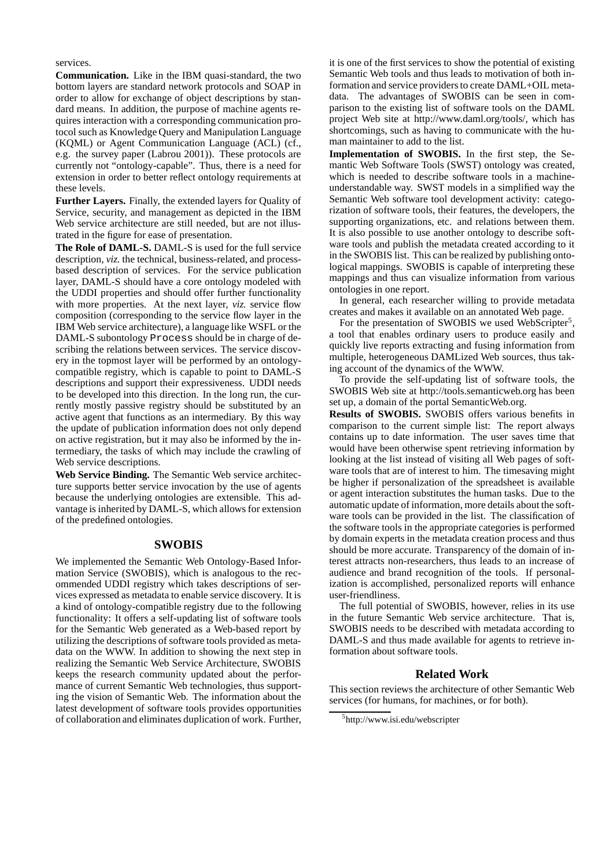services.

**Communication.** Like in the IBM quasi-standard, the two bottom layers are standard network protocols and SOAP in order to allow for exchange of object descriptions by standard means. In addition, the purpose of machine agents requires interaction with a corresponding communication protocol such as Knowledge Query and Manipulation Language (KQML) or Agent Communication Language (ACL) (cf., e.g. the survey paper (Labrou 2001)). These protocols are currently not "ontology-capable". Thus, there is a need for extension in order to better reflect ontology requirements at these levels.

**Further Layers.** Finally, the extended layers for Quality of Service, security, and management as depicted in the IBM Web service architecture are still needed, but are not illustrated in the figure for ease of presentation.

**The Role of DAML-S.** DAML-S is used for the full service description, *viz.* the technical, business-related, and processbased description of services. For the service publication layer, DAML-S should have a core ontology modeled with the UDDI properties and should offer further functionality with more properties. At the next layer, *viz.* service flow composition (corresponding to the service flow layer in the IBM Web service architecture), a language like WSFL or the DAML-S subontology Process should be in charge of describing the relations between services. The service discovery in the topmost layer will be performed by an ontologycompatible registry, which is capable to point to DAML-S descriptions and support their expressiveness. UDDI needs to be developed into this direction. In the long run, the currently mostly passive registry should be substituted by an active agent that functions as an intermediary. By this way the update of publication information does not only depend on active registration, but it may also be informed by the intermediary, the tasks of which may include the crawling of Web service descriptions.

**Web Service Binding.** The Semantic Web service architecture supports better service invocation by the use of agents because the underlying ontologies are extensible. This advantage is inherited by DAML-S, which allows for extension of the predefined ontologies.

#### **SWOBIS**

We implemented the Semantic Web Ontology-Based Information Service (SWOBIS), which is analogous to the recommended UDDI registry which takes descriptions of services expressed as metadata to enable service discovery. It is a kind of ontology-compatible registry due to the following functionality: It offers a self-updating list of software tools for the Semantic Web generated as a Web-based report by utilizing the descriptions of software tools provided as metadata on the WWW. In addition to showing the next step in realizing the Semantic Web Service Architecture, SWOBIS keeps the research community updated about the performance of current Semantic Web technologies, thus supporting the vision of Semantic Web. The information about the latest development of software tools provides opportunities of collaboration and eliminates duplication of work. Further, it is one of the first services to show the potential of existing Semantic Web tools and thus leads to motivation of both information and service providers to create DAML+OIL metadata. The advantages of SWOBIS can be seen in comparison to the existing list of software tools on the DAML project Web site at http://www.daml.org/tools/, which has shortcomings, such as having to communicate with the human maintainer to add to the list.

**Implementation of SWOBIS.** In the first step, the Semantic Web Software Tools (SWST) ontology was created, which is needed to describe software tools in a machineunderstandable way. SWST models in a simplified way the Semantic Web software tool development activity: categorization of software tools, their features, the developers, the supporting organizations, etc. and relations between them. It is also possible to use another ontology to describe software tools and publish the metadata created according to it in the SWOBIS list. This can be realized by publishing ontological mappings. SWOBIS is capable of interpreting these mappings and thus can visualize information from various ontologies in one report.

In general, each researcher willing to provide metadata creates and makes it available on an annotated Web page.

For the presentation of SWOBIS we used WebScripter<sup>5</sup>, a tool that enables ordinary users to produce easily and quickly live reports extracting and fusing information from multiple, heterogeneous DAMLized Web sources, thus taking account of the dynamics of the WWW.

To provide the self-updating list of software tools, the SWOBIS Web site at http://tools.semanticweb.org has been set up, a domain of the portal SemanticWeb.org.

**Results of SWOBIS.** SWOBIS offers various benefits in comparison to the current simple list: The report always contains up to date information. The user saves time that would have been otherwise spent retrieving information by looking at the list instead of visiting all Web pages of software tools that are of interest to him. The timesaving might be higher if personalization of the spreadsheet is available or agent interaction substitutes the human tasks. Due to the automatic update of information, more details about the software tools can be provided in the list. The classification of the software tools in the appropriate categories is performed by domain experts in the metadata creation process and thus should be more accurate. Transparency of the domain of interest attracts non-researchers, thus leads to an increase of audience and brand recognition of the tools. If personalization is accomplished, personalized reports will enhance user-friendliness.

The full potential of SWOBIS, however, relies in its use in the future Semantic Web service architecture. That is, SWOBIS needs to be described with metadata according to DAML-S and thus made available for agents to retrieve information about software tools.

# **Related Work**

This section reviews the architecture of other Semantic Web services (for humans, for machines, or for both).

<sup>5</sup> http://www.isi.edu/webscripter